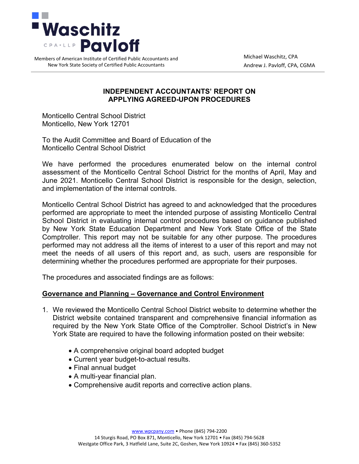

Members of American Institute of Certified Public Accountants and New York State Society of Certified Public Accountants

Michael Waschitz, CPA Andrew J. Pavloff, CPA, CGMA

#### **INDEPENDENT ACCOUNTANTS' REPORT ON APPLYING AGREED-UPON PROCEDURES**

Monticello Central School District Monticello, New York 12701

To the Audit Committee and Board of Education of the Monticello Central School District

We have performed the procedures enumerated below on the internal control assessment of the Monticello Central School District for the months of April, May and June 2021. Monticello Central School District is responsible for the design, selection, and implementation of the internal controls.

Monticello Central School District has agreed to and acknowledged that the procedures performed are appropriate to meet the intended purpose of assisting Monticello Central School District in evaluating internal control procedures based on guidance published by New York State Education Department and New York State Office of the State Comptroller. This report may not be suitable for any other purpose. The procedures performed may not address all the items of interest to a user of this report and may not meet the needs of all users of this report and, as such, users are responsible for determining whether the procedures performed are appropriate for their purposes.

The procedures and associated findings are as follows:

#### **Governance and Planning – Governance and Control Environment**

- 1. We reviewed the Monticello Central School District website to determine whether the District website contained transparent and comprehensive financial information as required by the New York State Office of the Comptroller. School District's in New York State are required to have the following information posted on their website:
	- A comprehensive original board adopted budget
	- Current year budget-to-actual results.
	- Final annual budget
	- A multi-year financial plan.
	- Comprehensive audit reports and corrective action plans.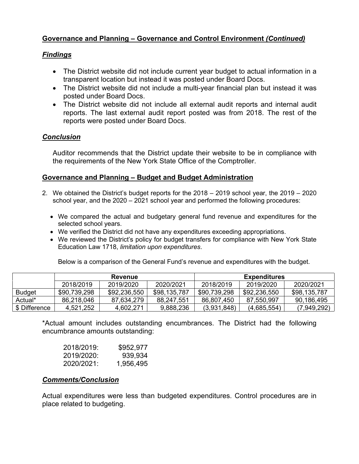# **Governance and Planning – Governance and Control Environment** *(Continued)*

## *Findings*

- The District website did not include current year budget to actual information in a transparent location but instead it was posted under Board Docs.
- The District website did not include a multi-year financial plan but instead it was posted under Board Docs.
- The District website did not include all external audit reports and internal audit reports. The last external audit report posted was from 2018. The rest of the reports were posted under Board Docs.

### *Conclusion*

Auditor recommends that the District update their website to be in compliance with the requirements of the New York State Office of the Comptroller.

#### **Governance and Planning – Budget and Budget Administration**

- 2. We obtained the District's budget reports for the 2018 2019 school year, the 2019 2020 school year, and the 2020 – 2021 school year and performed the following procedures:
	- We compared the actual and budgetary general fund revenue and expenditures for the selected school years.
	- We verified the District did not have any expenditures exceeding appropriations.
	- We reviewed the District's policy for budget transfers for compliance with New York State Education Law 1718, *limitation upon expenditures*.

Below is a comparison of the General Fund's revenue and expenditures with the budget.

|               | <b>Revenue</b> |              |              | <b>Expenditures</b> |              |              |
|---------------|----------------|--------------|--------------|---------------------|--------------|--------------|
|               | 2018/2019      | 2019/2020    | 2020/2021    | 2018/2019           | 2019/2020    | 2020/2021    |
| <b>Budget</b> | \$90,739,298   | \$92,236,550 | \$98,135,787 | \$90,739,298        | \$92,236,550 | \$98,135,787 |
| Actual*       | 86,218,046     | 87,634,279   | 88,247,551   | 86,807,450          | 87,550,997   | 90,186,495   |
| \$ Difference | 4,521,252      | 4,602,271    | 9,888,236    | (3,931,848)         | (4,685,554)  | (7,949,292)  |

\*Actual amount includes outstanding encumbrances. The District had the following encumbrance amounts outstanding:

| 2018/2019: | \$952,977 |
|------------|-----------|
| 2019/2020: | 939,934   |
| 2020/2021: | 1,956,495 |

#### *Comments/Conclusion*

Actual expenditures were less than budgeted expenditures. Control procedures are in place related to budgeting.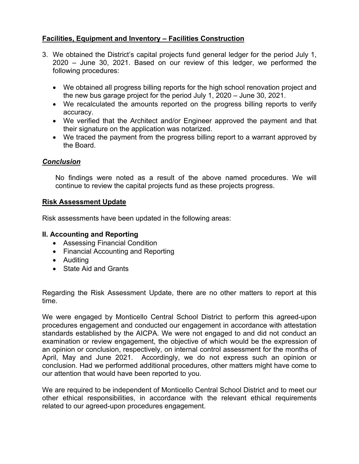# **Facilities, Equipment and Inventory – Facilities Construction**

- 3. We obtained the District's capital projects fund general ledger for the period July 1, 2020 – June 30, 2021. Based on our review of this ledger, we performed the following procedures:
	- We obtained all progress billing reports for the high school renovation project and the new bus garage project for the period July 1, 2020 – June 30, 2021.
	- We recalculated the amounts reported on the progress billing reports to verify accuracy.
	- We verified that the Architect and/or Engineer approved the payment and that their signature on the application was notarized.
	- We traced the payment from the progress billing report to a warrant approved by the Board.

### *Conclusion*

No findings were noted as a result of the above named procedures. We will continue to review the capital projects fund as these projects progress.

#### **Risk Assessment Update**

Risk assessments have been updated in the following areas:

#### **II. Accounting and Reporting**

- Assessing Financial Condition
- Financial Accounting and Reporting
- Auditing
- State Aid and Grants

Regarding the Risk Assessment Update, there are no other matters to report at this time.

We were engaged by Monticello Central School District to perform this agreed-upon procedures engagement and conducted our engagement in accordance with attestation standards established by the AICPA. We were not engaged to and did not conduct an examination or review engagement, the objective of which would be the expression of an opinion or conclusion, respectively, on internal control assessment for the months of April, May and June 2021. Accordingly, we do not express such an opinion or conclusion. Had we performed additional procedures, other matters might have come to our attention that would have been reported to you.

We are required to be independent of Monticello Central School District and to meet our other ethical responsibilities, in accordance with the relevant ethical requirements related to our agreed-upon procedures engagement.